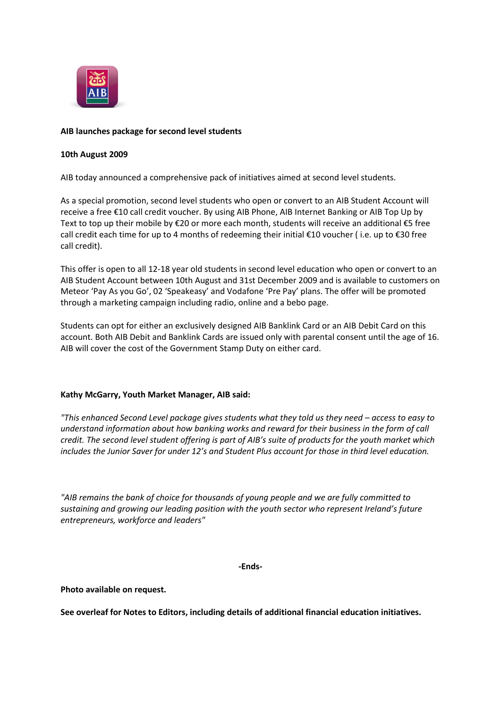

# **AIB launches package for second level students**

### **10th August 2009**

AIB today announced a comprehensive pack of initiatives aimed at second level students.

As a special promotion, second level students who open or convert to an AIB Student Account will receive a free €10 call credit voucher. By using AIB Phone, AIB Internet Banking or AIB Top Up by Text to top up their mobile by €20 or more each month, students will receive an additional €5 free call credit each time for up to 4 months of redeeming their initial €10 voucher ( i.e. up to €30 free call credit).

This offer is open to all 12-18 year old students in second level education who open or convert to an AIB Student Account between 10th August and 31st December 2009 and is available to customers on Meteor 'Pay As you Go', 02 'Speakeasy' and Vodafone 'Pre Pay' plans. The offer will be promoted through a marketing campaign including radio, online and a bebo page.

Students can opt for either an exclusively designed AIB Banklink Card or an AIB Debit Card on this account. Both AIB Debit and Banklink Cards are issued only with parental consent until the age of 16. AIB will cover the cost of the Government Stamp Duty on either card.

## **Kathy McGarry, Youth Market Manager, AIB said:**

*"This enhanced Second Level package gives students what they told us they need – access to easy to understand information about how banking works and reward for their business in the form of call credit. The second level student offering is part of AIB's suite of products for the youth market which includes the Junior Saver for under 12's and Student Plus account for those in third level education.*

*"AIB remains the bank of choice for thousands of young people and we are fully committed to sustaining and growing our leading position with the youth sector who represent Ireland's future entrepreneurs, workforce and leaders"*

#### **-Ends-**

**Photo available on request.**

**See overleaf for Notes to Editors, including details of additional financial education initiatives.**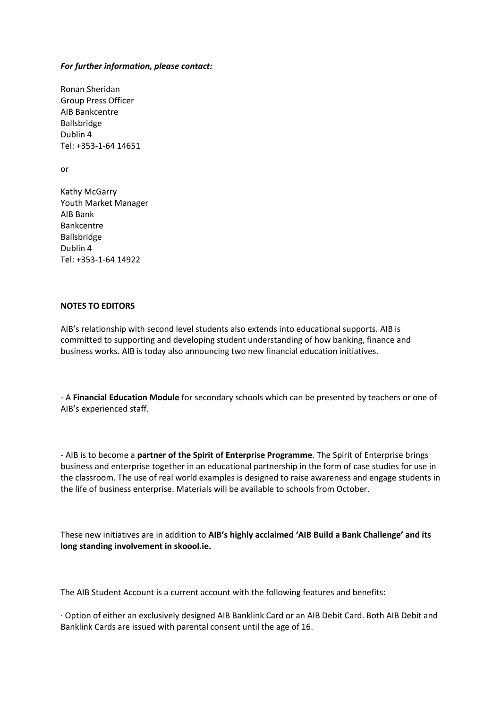### *For further information, please contact:*

Ronan Sheridan Group Press Officer AIB Bankcentre Ballsbridge Dublin 4 Tel: +353-1-64 14651

or

Kathy McGarry Youth Market Manager AIB Bank Bankcentre Ballsbridge Dublin 4 Tel: +353-1-64 14922

## **NOTES TO EDITORS**

AIB's relationship with second level students also extends into educational supports. AIB is committed to supporting and developing student understanding of how banking, finance and business works. AIB is today also announcing two new financial education initiatives.

- A **Financial Education Module** for secondary schools which can be presented by teachers or one of AIB's experienced staff.

- AIB is to become a **partner of the Spirit of Enterprise Programme**. The Spirit of Enterprise brings business and enterprise together in an educational partnership in the form of case studies for use in the classroom. The use of real world examples is designed to raise awareness and engage students in the life of business enterprise. Materials will be available to schools from October.

These new initiatives are in addition to **AIB's highly acclaimed 'AIB Build a Bank Challenge' and its long standing involvement in skoool.ie.**

The AIB Student Account is a current account with the following features and benefits:

· Option of either an exclusively designed AIB Banklink Card or an AIB Debit Card. Both AIB Debit and Banklink Cards are issued with parental consent until the age of 16.